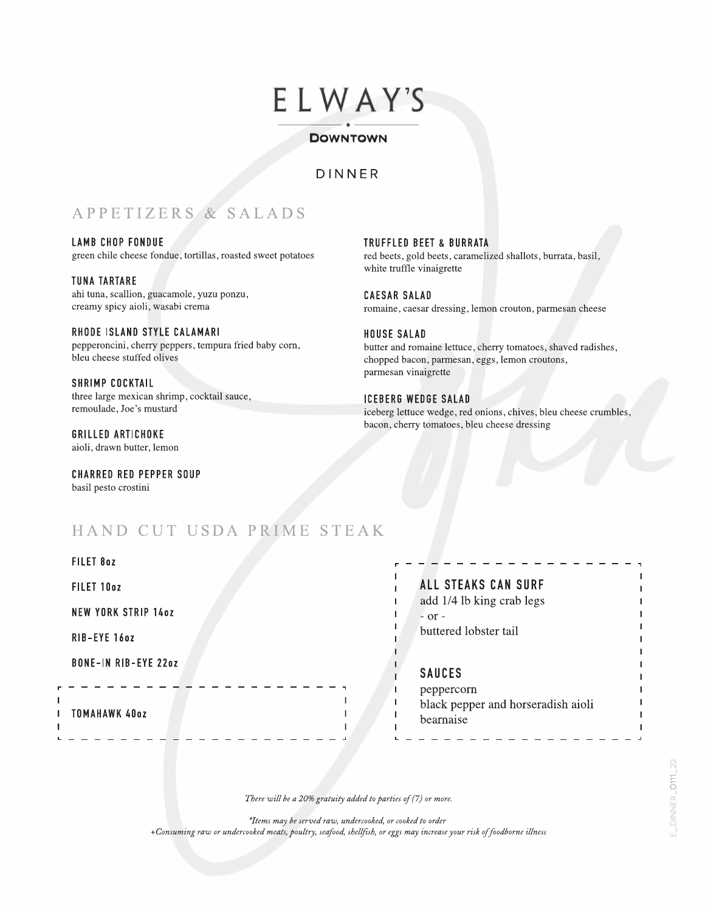# ELWAY'S

#### ----- ----- DOWNTOWN

### DINNER

# APPETIZERS & SALADS

LAMB CHOP FONDUE green chile cheese fondue, tortillas, roasted sweet potatoes

TUNA TARTARE ahi tuna, scallion, guacamole, yuzu ponzu, creamy spicy aioli, wasabi crema

RHODE ISLAND STYLE CALAMARI pepperoncini, cherry peppers, tempura fried baby corn, bleu cheese stuffed olives

SHRIMP COCKTAIL three large mexican shrimp, cocktail sauce, remoulade, Joe's mustard

GRILLED ARTICHOKE aioli, drawn butter, lemon

FILET 8oz

CHARRED RED PEPPER SOUP basil pesto crostini

TRUFFLED BEET & BURRATA red beets, gold beets, caramelized shallots, burrata, basil, white truffle vinaigrette

CAESAR SALAD romaine, caesar dressing, lemon crouton, parmesan cheese

HOUSE SALAD butter and romaine lettuce, cherry tomatoes, shaved radishes, chopped bacon, parmesan, eggs, lemon croutons, parmesan vinaigrette

ICEBERG WEDGE SALAD iceberg lettuce wedge, red onions, chives, bleu cheese crumbles, bacon, cherry tomatoes, bleu cheese dressing

## HAND CUT USDA PRIME STEAK

| <b>ALL STEAKS CAN SURF</b>                                    |
|---------------------------------------------------------------|
| add 1/4 lb king crab legs                                     |
| buttered lobster tail                                         |
| <b>SAUCES</b>                                                 |
| peppercorn<br>black pepper and horseradish aioli<br>bearnaise |
|                                                               |

## ALL STEAKS CAN SURF

### SAUCES

,... - - - - - - - - - - - - ------

There will be a 20% gratuity added to parties of (7) or more.

\*Items may be served raw, undercooked, or cooked to order +Consuming raw or undercooked meats, poultry, seafood, shellfish, or eggs may increase your risk of foodborne illness ,

.J